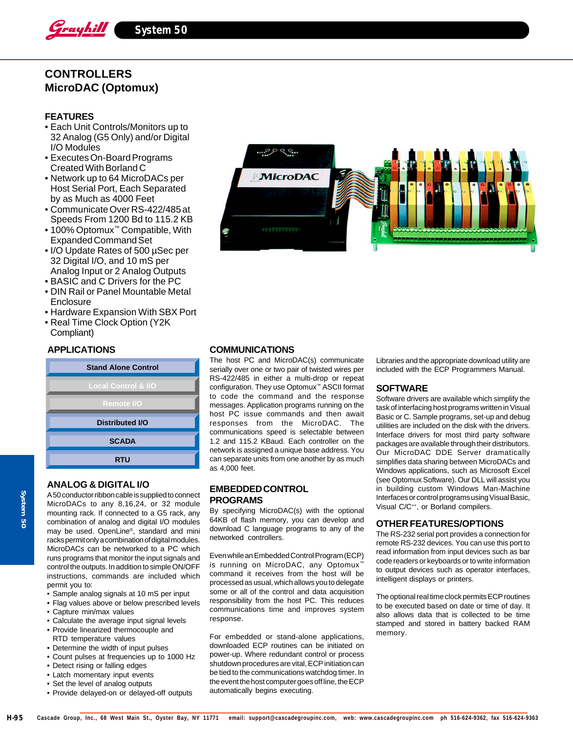

# **CONTROLLERS MicroDAC (Optomux)**

# **FEATURES**

- Each Unit Controls/Monitors up to 32 Analog (G5 Only) and/or Digital I/O Modules
- Executes On-Board Programs Created With Borland C
- Network up to 64 MicroDACs per Host Serial Port, Each Separated by as Much as 4000 Feet
- Communicate Over RS-422/485 at Speeds From 1200 Bd to 115.2 KB
- 100% Optomux™ Compatible, With Expanded Command Set
- I/O Update Rates of 500 µSec per 32 Digital I/O, and 10 mS per Analog Input or 2 Analog Outputs
- BASIC and C Drivers for the PC
- DIN Rail or Panel Mountable Metal **Enclosure**
- Hardware Expansion With SBX Port
- Real Time Clock Option (Y2K Compliant)

#### **APPLICATIONS**

| <b>Stand Alone Control</b>     |  |
|--------------------------------|--|
| <b>Local Control &amp; I/O</b> |  |
| <b>Remote I/O</b>              |  |
| <b>Distributed I/O</b>         |  |
| <b>SCADA</b>                   |  |
| <b>RTU</b>                     |  |
|                                |  |

### **ANALOG & DIGITAL I/O**

A 50 conductor ribbon cable is supplied to connect MicroDACs to any 8,16,24, or 32 module mounting rack. If connected to a G5 rack, any combination of analog and digital I/O modules may be used. OpenLine®, standard and mini racks permit only a combination of digital modules. MicroDACs can be networked to a PC which runs programs that monitor the input signals and control the outputs. In addition to simple ON/OFF instructions, commands are included which permit you to:

- Sample analog signals at 10 mS per input
- Flag values above or below prescribed levels
- Capture min/max values
- Calculate the average input signal levels
- Provide linearized thermocouple and RTD temperature values
- Determine the width of input pulses
- Count pulses at frequencies up to 1000 Hz
- Detect rising or falling edges
- Latch momentary input events
- Set the level of analog outputs
- Provide delayed-on or delayed-off outputs



# **COMMUNICATIONS**

The host PC and MicroDAC(s) communicate serially over one or two pair of twisted wires per RS-422/485 in either a multi-drop or repeat configuration. They use Optomux™ ASCII format to code the command and the response messages. Application programs running on the host PC issue commands and then await responses from the MicroDAC. The communications speed is selectable between 1.2 and 115.2 KBaud. Each controller on the network is assigned a unique base address. You can separate units from one another by as much as 4,000 feet.

# **EMBEDDED CONTROL PROGRAMS**

By specifying MicroDAC(s) with the optional 64KB of flash memory, you can develop and download C language programs to any of the networked controllers.

Even while an Embedded Control Program (ECP) is running on MicroDAC, any Optomux™ command it receives from the host will be processed as usual, which allows you to delegate some or all of the control and data acquisition responsibility from the host PC. This reduces communications time and improves system response.

For embedded or stand-alone applications, downloaded ECP routines can be initiated on power-up. Where redundant control or process shutdown procedures are vital, ECP initiation can be tied to the communications watchdog timer. In the event the host computer goes off line, the ECP automatically begins executing.

Libraries and the appropriate download utility are included with the ECP Programmers Manual.

#### **SOFTWARE**

Software drivers are available which simplify the task of interfacing host programs written in Visual Basic or C. Sample programs, set-up and debug utilities are included on the disk with the drivers. Interface drivers for most third party software packages are available through their distributors. Our MicroDAC DDE Server dramatically simplifies data sharing between MicroDACs and Windows applications, such as Microsoft Excel (see Optomux Software). Our DLL will assist you in building custom Windows Man-Machine Interfaces or control programs using Visual Basic, Visual C/C++, or Borland compilers.

#### **OTHER FEATURES/OPTIONS**

The RS-232 serial port provides a connection for remote RS-232 devices. You can use this port to read information from input devices such as bar code readers or keyboards or to write information to output devices such as operator interfaces, intelligent displays or printers.

The optional real time clock permits ECP routines to be executed based on date or time of day. It also allows data that is collected to be time stamped and stored in battery backed RAM memory.